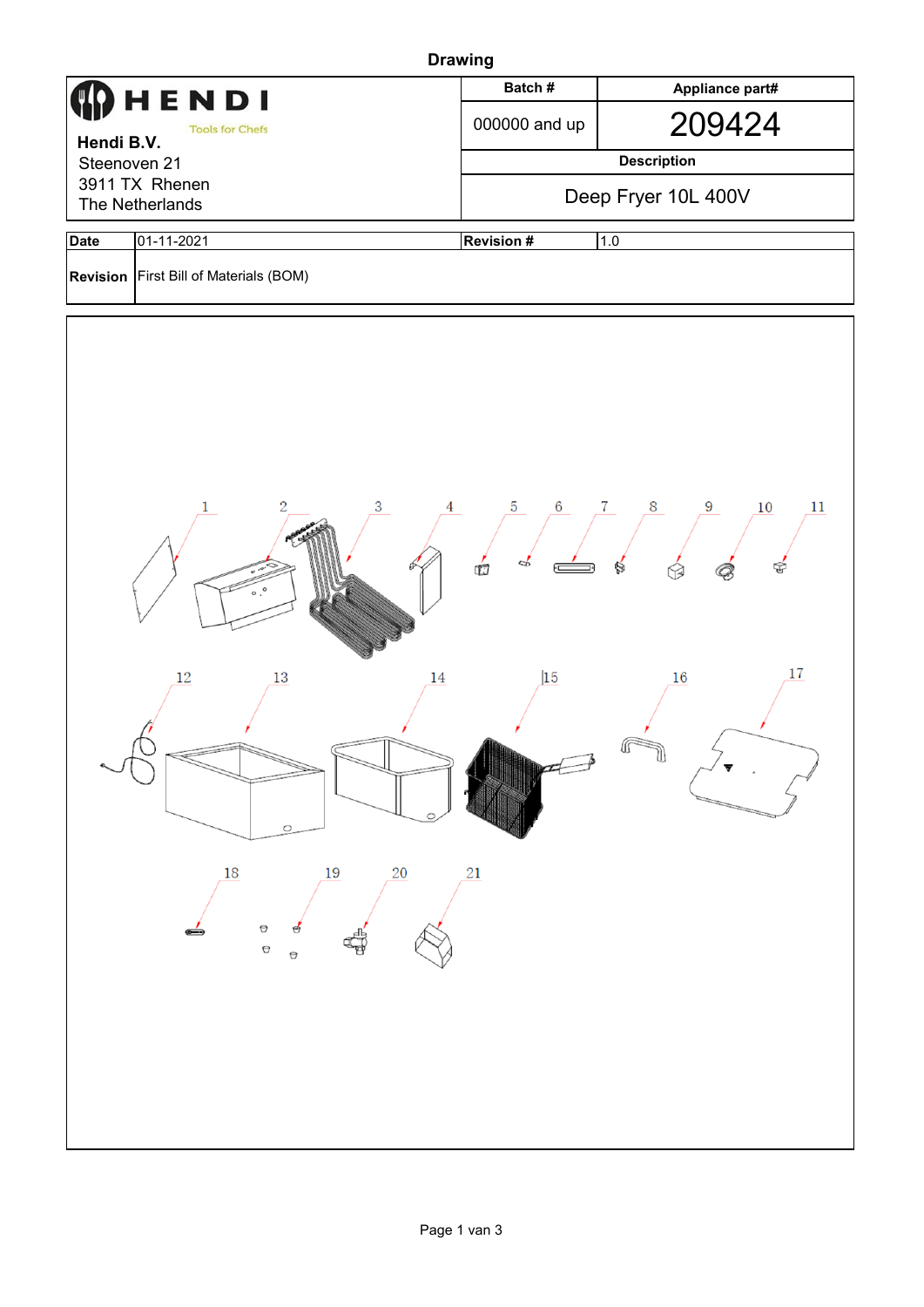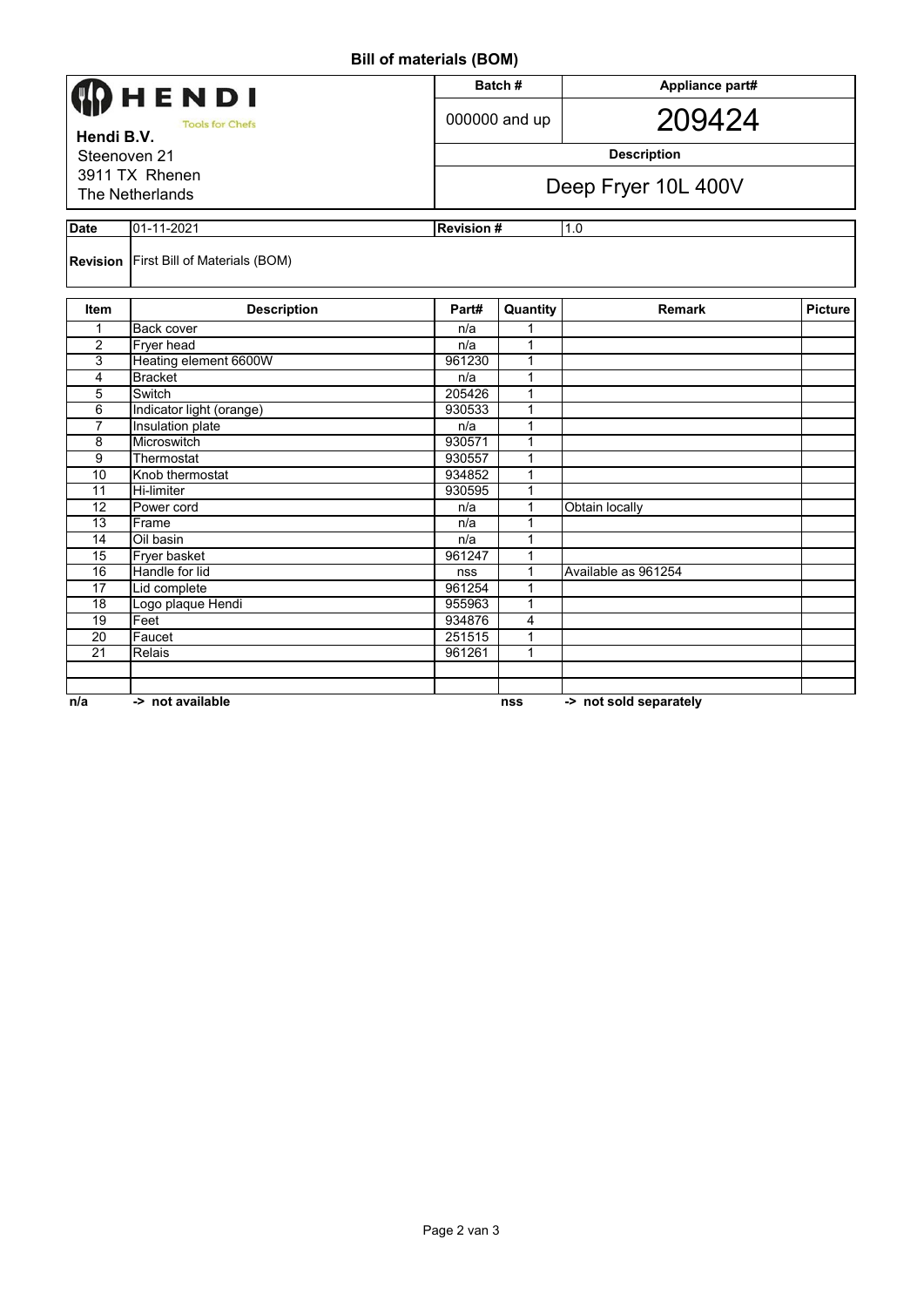## **Bill of materials (BOM)**

|                                                                        | HENDI)                                        |        | Batch#                  | Appliance part#        |         |  |
|------------------------------------------------------------------------|-----------------------------------------------|--------|-------------------------|------------------------|---------|--|
| <b>Tools for Chefs</b><br>Hendi B.V.<br>Steenoven 21<br>3911 TX Rhenen |                                               |        | 000000 and up           | 209424                 |         |  |
|                                                                        |                                               |        | <b>Description</b>      |                        |         |  |
|                                                                        |                                               |        |                         |                        |         |  |
| The Netherlands                                                        |                                               |        | Deep Fryer 10L 400V     |                        |         |  |
| <b>Date</b><br>01-11-2021                                              |                                               |        | 1.0<br><b>Revision#</b> |                        |         |  |
|                                                                        | <b>Revision</b> First Bill of Materials (BOM) |        |                         |                        |         |  |
| <b>Item</b>                                                            | <b>Description</b>                            | Part#  | Quantity                | <b>Remark</b>          | Picture |  |
| 1                                                                      | <b>Back cover</b>                             | n/a    | 1                       |                        |         |  |
| 2                                                                      | Fryer head                                    | n/a    | $\mathbf{1}$            |                        |         |  |
| 3                                                                      | Heating element 6600W                         | 961230 | 1                       |                        |         |  |
| 4                                                                      | <b>Bracket</b>                                | n/a    | 1                       |                        |         |  |
| 5                                                                      | Switch                                        | 205426 | 1                       |                        |         |  |
| 6                                                                      | Indicator light (orange)                      | 930533 | 1                       |                        |         |  |
| 7                                                                      | Insulation plate                              | n/a    | 1                       |                        |         |  |
| 8                                                                      | Microswitch                                   | 930571 | $\mathbf{1}$            |                        |         |  |
| 9                                                                      | Thermostat                                    | 930557 | $\mathbf{1}$            |                        |         |  |
| 10                                                                     | Knob thermostat                               | 934852 | $\mathbf{1}$            |                        |         |  |
| 11                                                                     | <b>Hi-limiter</b>                             | 930595 | 1                       |                        |         |  |
| 12                                                                     | Power cord                                    | n/a    | 1                       | <b>Obtain locally</b>  |         |  |
| $\overline{13}$                                                        | Frame                                         | n/a    | 1                       |                        |         |  |
| 14                                                                     | $\overline{O}$ il basin                       | n/a    | 1                       |                        |         |  |
| 15                                                                     | Fryer basket                                  | 961247 | 1                       |                        |         |  |
| 16                                                                     | Handle for lid                                | nss    | $\mathbf{1}$            | Available as 961254    |         |  |
| $\overline{17}$                                                        | Lid complete                                  | 961254 | 1                       |                        |         |  |
| 18                                                                     | Logo plaque Hendi                             | 955963 | $\mathbf{1}$            |                        |         |  |
| 19                                                                     | Feet                                          | 934876 | 4                       |                        |         |  |
| 20                                                                     | Faucet                                        | 251515 | 1                       |                        |         |  |
| $\overline{21}$                                                        | <b>Relais</b>                                 | 961261 | $\mathbf{1}$            |                        |         |  |
|                                                                        |                                               |        |                         |                        |         |  |
|                                                                        |                                               |        |                         |                        |         |  |
| n/a                                                                    | -> not available                              |        | nss                     | -> not sold separately |         |  |